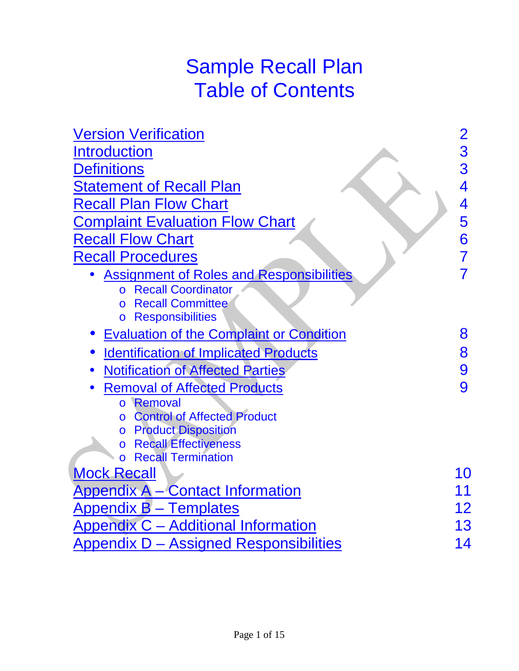# Sample Recall Plan Table of Contents

| <b>Version Verification</b>                                                                                                                                      | $\overline{2}$ |
|------------------------------------------------------------------------------------------------------------------------------------------------------------------|----------------|
| <b>Introduction</b>                                                                                                                                              | 3              |
| <b>Definitions</b>                                                                                                                                               | 3              |
| <u>Statement of Recall Plan</u>                                                                                                                                  | 4              |
| <b>Recall Plan Flow Chart</b>                                                                                                                                    | 4              |
| <b>Complaint Evaluation Flow Chart</b>                                                                                                                           | 5              |
| <b>Recall Flow Chart</b>                                                                                                                                         | 6              |
| <b>Recall Procedures</b>                                                                                                                                         |                |
| <b>Assignment of Roles and Responsibilities</b><br><b>Recall Coordinator</b><br><b>Recall Committee</b><br>$\Omega$<br><b>Responsibilities</b><br>$\overline{O}$ |                |
| <b>Evaluation of the Complaint or Condition</b>                                                                                                                  | 8              |
| <b>Identification of Implicated Products</b><br>×                                                                                                                | 8              |
| <b>Notification of Affected Parties</b>                                                                                                                          | 9              |
| <b>Removal of Affected Products</b>                                                                                                                              | 9              |
| o Removal                                                                                                                                                        |                |
| <b>Control of Affected Product</b><br>$\circ$                                                                                                                    |                |
| o Product Disposition                                                                                                                                            |                |
| <b>Recall Effectiveness</b><br><b>Recall Termination</b>                                                                                                         |                |
| $\Omega$<br><b>Mock Recall</b>                                                                                                                                   | 10             |
|                                                                                                                                                                  | 11             |
| Appendix A – Contact Information                                                                                                                                 |                |
| <b>Appendix B – Templates</b>                                                                                                                                    | 12             |
| <b>Appendix C - Additional Information</b>                                                                                                                       | 13             |
| <b>Appendix D - Assigned Responsibilities</b>                                                                                                                    | 14             |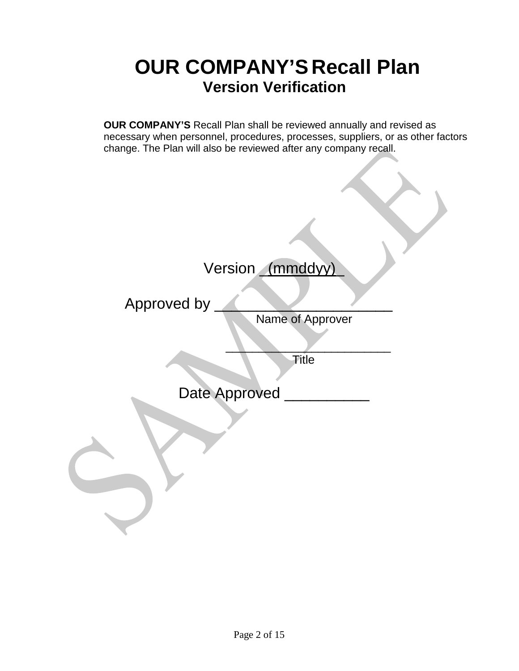# **OUR COMPANY'S Recall Plan Version Verification**

<span id="page-1-0"></span>**OUR COMPANY'S** Recall Plan shall be reviewed annually and revised as necessary when personnel, procedures, processes, suppliers, or as other factors change. The Plan will also be reviewed after any company recall.

# Version \_(mmddyy)

Approved by

Name of Approver

 $\Box$ Title

Date Approved \_\_\_\_\_\_\_\_\_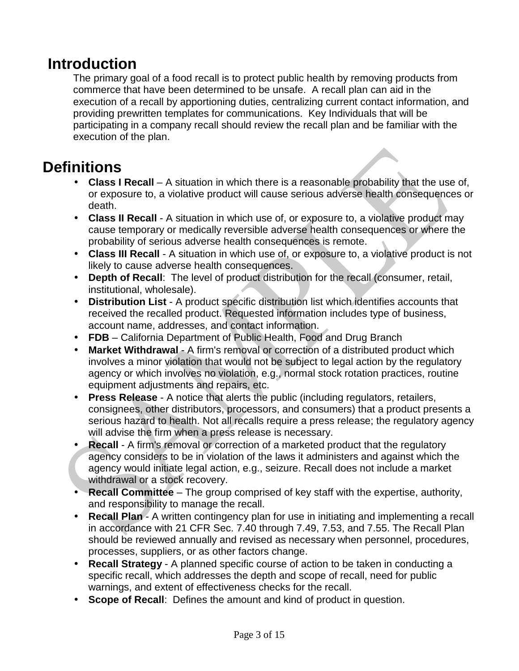### <span id="page-2-0"></span>**Introduction**

The primary goal of a food recall is to protect public health by removing products from commerce that have been determined to be unsafe. A recall plan can aid in the execution of a recall by apportioning duties, centralizing current contact information, and providing prewritten templates for communications. Key Individuals that will be participating in a company recall should review the recall plan and be familiar with the execution of the plan.

### <span id="page-2-1"></span>**Definitions**

- **Class I Recall** A situation in which there is a reasonable probability that the use of, or exposure to, a violative product will cause serious adverse health consequences or death.
- **Class II Recall** A situation in which use of, or exposure to, a violative product may cause temporary or medically reversible adverse health consequences or where the probability of serious adverse health consequences is remote.
- **Class III Recall** A situation in which use of, or exposure to, a violative product is not likely to cause adverse health consequences.
- **Depth of Recall:** The level of product distribution for the recall (consumer, retail, institutional, wholesale).
- **Distribution List** A product specific distribution list which identifies accounts that received the recalled product. Requested information includes type of business, account name, addresses, and contact information.
- **FDB**  California Department of Public Health, Food and Drug Branch
- **Market Withdrawal** A firm's removal or correction of a distributed product which involves a minor violation that would not be subject to legal action by the regulatory agency or which involves no violation, e.g., normal stock rotation practices, routine equipment adjustments and repairs, etc.
	- **Press Release** A notice that alerts the public (including regulators, retailers, consignees, other distributors, processors, and consumers) that a product presents a serious hazard to health. Not all recalls require a press release; the regulatory agency will advise the firm when a press release is necessary.
	- **Recall** A firm's removal or correction of a marketed product that the regulatory agency considers to be in violation of the laws it administers and against which the agency would initiate legal action, e.g., seizure. Recall does not include a market withdrawal or a stock recovery.
- **Recall Committee** The group comprised of key staff with the expertise, authority, and responsibility to manage the recall.
- **Recall Plan** A written contingency plan for use in initiating and implementing a recall  $\mathbf{r}$ in accordance with 21 CFR Sec. 7.40 through 7.49, 7.53, and 7.55. The Recall Plan should be reviewed annually and revised as necessary when personnel, procedures, processes, suppliers, or as other factors change.
- **Recall Strategy** A planned specific course of action to be taken in conducting a specific recall, which addresses the depth and scope of recall, need for public warnings, and extent of effectiveness checks for the recall.
- **Scope of Recall**: Defines the amount and kind of product in question.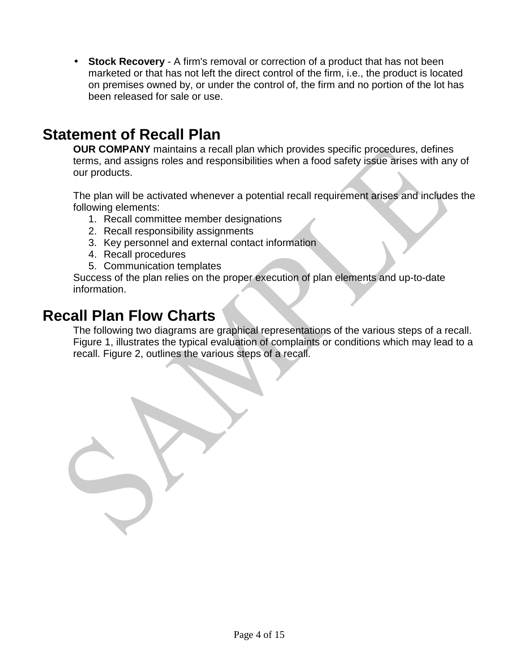**Stock Recovery** - A firm's removal or correction of a product that has not been marketed or that has not left the direct control of the firm, i.e., the product is located on premises owned by, or under the control of, the firm and no portion of the lot has been released for sale or use.

### <span id="page-3-0"></span>**Statement of Recall Plan**

 $\mathbf{r}$ 

**OUR COMPANY** maintains a recall plan which provides specific procedures, defines terms, and assigns roles and responsibilities when a food safety issue arises with any of our products.

The plan will be activated whenever a potential recall requirement arises and includes the following elements:

- 1. Recall committee member designations
- 2. Recall responsibility assignments
- 3. Key personnel and external contact information
- 4. Recall procedures
- 5. Communication templates

Success of the plan relies on the proper execution of plan elements and up-to-date information.

### <span id="page-3-1"></span>**Recall Plan Flow Charts**

The following two diagrams are graphical representations of the various steps of a recall. Figure 1, illustrates the typical evaluation of complaints or conditions which may lead to a recall. Figure 2, outlines the various steps of a recall.

Page 4 of 15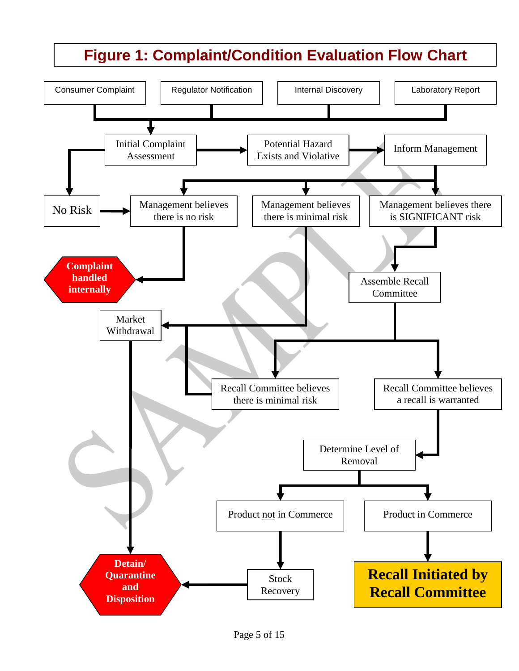# **Figure 1: Complaint/Condition Evaluation Flow Chart**

<span id="page-4-0"></span>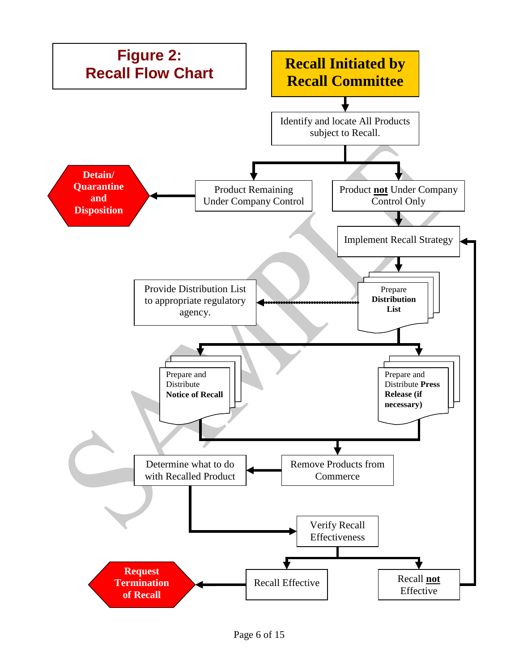<span id="page-5-0"></span>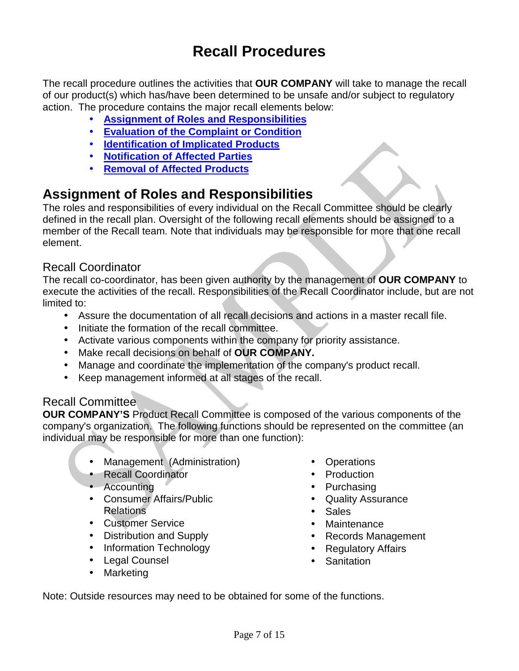# **Recall Procedures**

<span id="page-6-0"></span>The recall procedure outlines the activities that **OUR COMPANY** will take to manage the recall of our product(s) which has/have been determined to be unsafe and/or subject to regulatory action. The procedure contains the major recall elements below:

- **[Assignment of Roles and Responsibilities](#page-6-1)**
- **[Evaluation of the Complaint or Condition](#page-7-1)**
- **[Identification of Implicated Products](#page-7-0)**
- **[Notification of Affected Parties](#page-8-0)**
- **[Removal of Affected Products](#page-8-1)**

### <span id="page-6-1"></span>**Assignment of Roles and Responsibilities**

The roles and responsibilities of every individual on the Recall Committee should be clearly defined in the recall plan. Oversight of the following recall elements should be assigned to a member of the Recall team. Note that individuals may be responsible for more that one recall element.

#### Recall Coordinator

The recall co-coordinator, has been given authority by the management of **OUR COMPANY** to execute the activities of the recall. Responsibilities of the Recall Coordinator include, but are not limited to:

- Assure the documentation of all recall decisions and actions in a master recall file.
- Initiate the formation of the recall committee.
- Activate various components within the company for priority assistance.
- Make recall decisions on behalf of **OUR COMPANY.**  $\mathbf{r}$
- Manage and coordinate the implementation of the company's product recall.  $\mathbf{r}$
- Keep management informed at all stages of the recall.  $\mathbf{r}$

#### Recall Committee

**OUR COMPANY'S** Product Recall Committee is composed of the various components of the company's organization. The following functions should be represented on the committee (an individual may be responsible for more than one function):

- Management (Administration)
- Recall Coordinator
- Accounting
- Consumer Affairs/Public Relations
- Customer Service
- Distribution and Supply
- Information Technology
- Legal Counsel  $\mathbf{r}$
- Marketing
- Operations
- **Production**
- Purchasing
- Quality Assurance
- $\mathbf{r}$ **Sales**
- **Maintenance**
- Records Management
- $\mathbf{r}$ Regulatory Affairs
- **Sanitation**  $\mathbb{R}^{\mathbb{Z}^{\times}}$

Note: Outside resources may need to be obtained for some of the functions.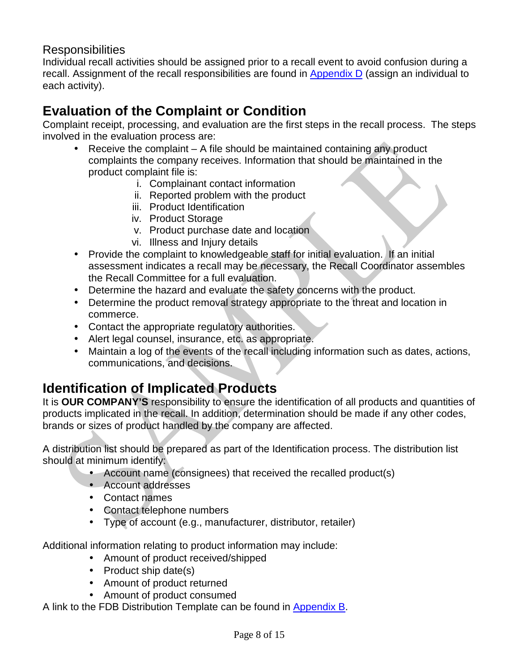#### **Responsibilities**

Individual recall activities should be assigned prior to a recall event to avoid confusion during a recall. Assignment of the recall responsibilities are found in [Appendix D](#page-13-0) (assign an individual to each activity).

### <span id="page-7-1"></span>**Evaluation of the Complaint or Condition**

Complaint receipt, processing, and evaluation are the first steps in the recall process. The steps involved in the evaluation process are:

- Receive the complaint A file should be maintained containing any product complaints the company receives. Information that should be maintained in the product complaint file is:
	- i. Complainant contact information
	- ii. Reported problem with the product
	- iii. Product Identification
	- iv. Product Storage
	- v. Product purchase date and location
	- vi. Illness and Injury details
- Provide the complaint to knowledgeable staff for initial evaluation. If an initial  $\mathbf{r}$  . assessment indicates a recall may be necessary, the Recall Coordinator assembles the Recall Committee for a full evaluation.
- Determine the hazard and evaluate the safety concerns with the product.
- Determine the product removal strategy appropriate to the threat and location in commerce.
- Contact the appropriate regulatory authorities.
- Alert legal counsel, insurance, etc. as appropriate.
- Maintain a log of the events of the recall including information such as dates, actions, communications, and decisions.

### <span id="page-7-0"></span>**Identification of Implicated Products**

It is **OUR COMPANY'S** responsibility to ensure the identification of all products and quantities of products implicated in the recall. In addition, determination should be made if any other codes, brands or sizes of product handled by the company are affected.

A distribution list should be prepared as part of the Identification process. The distribution list should at minimum identify:

- Account name (consignees) that received the recalled product(s)
- Account addresses
- Contact names
- Contact telephone numbers
- Type of account (e.g., manufacturer, distributor, retailer)

Additional information relating to product information may include:

- Amount of product received/shipped
- Product ship date(s)
- Amount of product returned
- Amount of product consumed

A link to the FDB Distribution Template can be found in [Appendix B.](#page-11-0)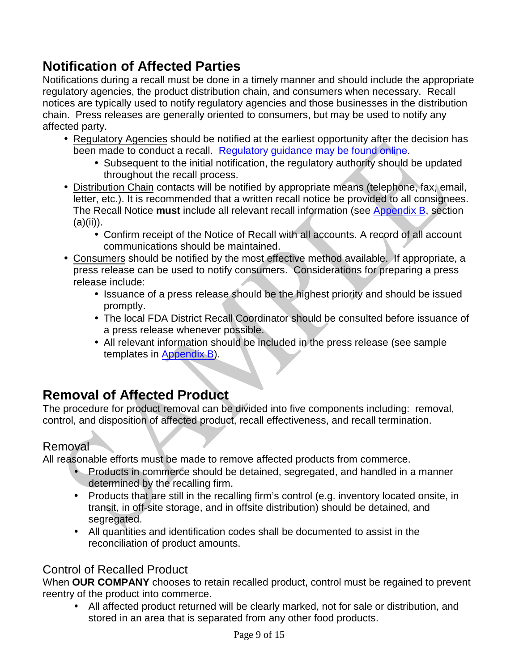### <span id="page-8-0"></span>**Notification of Affected Parties**

Notifications during a recall must be done in a timely manner and should include the appropriate regulatory agencies, the product distribution chain, and consumers when necessary. Recall notices are typically used to notify regulatory agencies and those businesses in the distribution chain. Press releases are generally oriented to consumers, but may be used to notify any affected party.

- Regulatory Agencies should be notified at the earliest opportunity after the decision has been made to conduct a recall.Regulatory [guidance may](http://www.fda.gov/Safety/Recalls/IndustryGuidance/ucm129259.htm) be found online.
	- Subsequent to the initial notification, the regulatory authority should be updated throughout the recall process.
- Distribution Chain contacts will be notified by appropriate means (telephone, fax, email, letter, etc.). It is recommended that a written recall notice be provided to all consignees. The Recall Notice **must** include all relevant recall information (se[e Appendix](#page-11-0) B, section  $(a)(ii)$ ).
	- Confirm receipt of the Notice of Recall with all accounts. A record of all account communications should be maintained.
- Consumers should be notified by the most effective method available. If appropriate, a press release can be used to notify consumers. Considerations for preparing a press release include:
	- In Issuance of a press release should be the highest priority and should be issued promptly.
	- The local FDA District Recall Coordinator should be consulted before issuance of a press release whenever possible.
	- All relevant information should be included in the press release (see sample templates i[n Appendix](#page-11-0) B).

### <span id="page-8-1"></span>**Removal of Affected Product**

The procedure for product removal can be divided into five components including: removal, control, and disposition of affected product, recall effectiveness, and recall termination.

#### Removal

 $\mathbf{r}^{\mathrm{max}}$ 

All reasonable efforts must be made to remove affected products from commerce.

- Products in commerce should be detained, segregated, and handled in a manner determined by the recalling firm.
- Products that are still in the recalling firm's control (e.g. inventory located onsite, in transit, in off-site storage, and in offsite distribution) should be detained, and segregated.
- All quantities and identification codes shall be documented to assist in the  $\mathbf{r}$ reconciliation of product amounts.

#### Control of Recalled Product

When **OUR COMPANY** chooses to retain recalled product, control must be regained to prevent reentry of the product into commerce.

All affected product returned will be clearly marked, not for sale or distribution, and stored in an area that is separated from any other food products.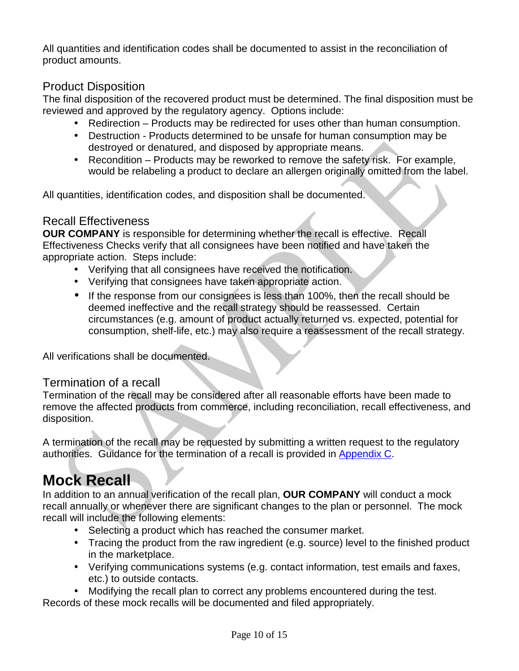All quantities and identification codes shall be documented to assist in the reconciliation of product amounts.

#### Product Disposition

The final disposition of the recovered product must be determined. The final disposition must be reviewed and approved by the regulatory agency. Options include:

- Redirection Products may be redirected for uses other than human consumption.
- Destruction Products determined to be unsafe for human consumption may be  $\mathbf{r}$ destroyed or denatured, and disposed by appropriate means.
- $\mathbf{r}^{(1)}$ Recondition – Products may be reworked to remove the safety risk. For example, would be relabeling a product to declare an allergen originally omitted from the label.

All quantities, identification codes, and disposition shall be documented.

#### Recall Effectiveness

**OUR COMPANY** is responsible for determining whether the recall is effective. Recall Effectiveness Checks verify that all consignees have been notified and have taken the appropriate action. Steps include:

- Verifying that all consignees have received the notification.
- Verifying that consignees have taken appropriate action.
- If the response from our consignees is less than 100%, then the recall should be deemed ineffective and the recall strategy should be reassessed. Certain circumstances (e.g. amount of product actually returned vs. expected, potential for consumption, shelf-life, etc.) may also require a reassessment of the recall strategy.

All verifications shall be documented.

#### Termination of a recall

Termination of the recall may be considered after all reasonable efforts have been made to remove the affected products from commerce, including reconciliation, recall effectiveness, and disposition.

A termination of the recall may be requested by submitting a written request to the regulatory authorities. Guidance for the termination of a recall is provided in [Appendix C.](#page-12-0)

# <span id="page-9-0"></span>**Mock Recall**

In addition to an annual verification of the recall plan, **OUR COMPANY** will conduct a mock recall annually or whenever there are significant changes to the plan or personnel. The mock recall will include the following elements:

- Selecting a product which has reached the consumer market.
- Tracing the product from the raw ingredient (e.g. source) level to the finished product in the marketplace.
- Verifying communications systems (e.g. contact information, test emails and faxes, etc.) to outside contacts.
- Modifying the recall plan to correct any problems encountered during the test.

Records of these mock recalls will be documented and filed appropriately.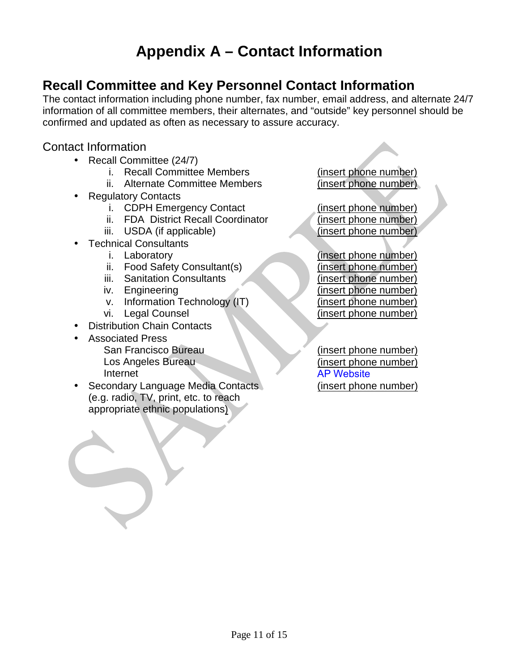# **Appendix A – Contact Information**

### <span id="page-10-0"></span>**Recall Committee and Key Personnel Contact Information**

The contact information including phone number, fax number, email address, and alternate 24/7 information of all committee members, their alternates, and "outside" key personnel should be confirmed and updated as often as necessary to assure accuracy.

#### Contact Information

- Recall Committee (24/7)
	-
	- ii. Alternate Committee Members
- Regulatory Contacts
	-
	- ii. FDA District Recall Coordinator
	- iii. USDA (if applicable) (insert phone number)
	- Technical Consultants
		-
		- ii. Food Safety Consultant(s) (insert phone number)
		- iii. Sanitation Consultants (insert phone number)
		-
		- v. Information Technology (IT) (insert phone number)
		-
- Distribution Chain Contacts
- Associated Press
	- San Francisco Bureau Los Angeles Bureau Internet
- Secondary Language Media Contacts (e.g. radio, TV, print, etc. to reach appropriate ethnic populations)

i. Recall Committee Members (insert phone number)<br>ii. Alternate Committee Members (insert phone number)

i. CDPH Emergency Contact (insert phone number)<br>ii. FDA District Recall Coordinator (insert phone number)

i. Laboratory (insert phone number) iv. Engineering (insert phone number) vi. Legal Counsel (insert phone number)

> (insert phone number) (insert phone number) [AP Website](http://www.ap.org/California/) (insert phone number)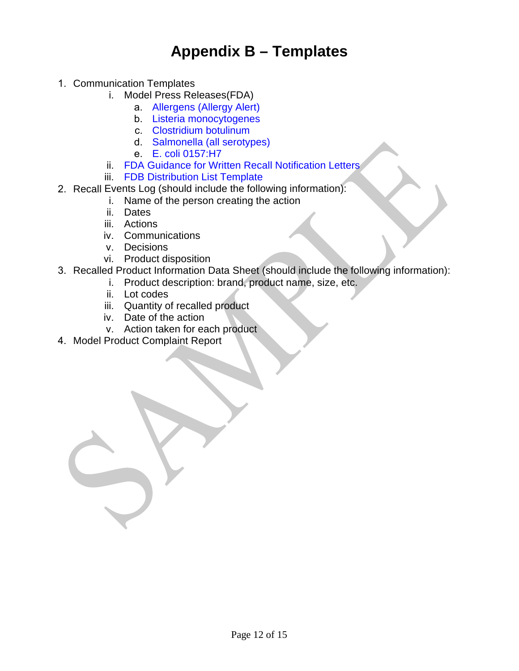### **Appendix B – Templates**

- <span id="page-11-0"></span>1. Communication Templates
	- i. Model Press Releases(FDA)
		- a. [Allergens \(Allergy Alert\)](http://www.fda.gov/Safety/Recalls/IndustryGuidance/ucm129262.htm)
		- b. [L](http://www.fda.gov/Safety/Recalls/IndustryGuidance/ucm129262.htm)[isteria monocytogenes](http://www.fda.gov/Safety/Recalls/IndustryGuidance/ucm129267.htm)
		- c. [Clostridium botulinum](http://www.fda.gov/Safety/Recalls/IndustryGuidance/ucm129273.htm)
		- d. [Salmonella \(all serotypes\)](http://www.fda.gov/Safety/Recalls/IndustryGuidance/ucm129267.htm)
		- e. [E. coli 0157:H7](http://www.fda.gov/Safety/Recalls/IndustryGuidance/ucm129287.htm)
	- ii. FDA Guidance for [Written Recall Notification Letters](http://www.fda.gov/Safety/Recalls/IndustryGuidance/default.htm)
	- iii. FDB [Distribution List Template](https://author.cdph.ca.gov/Programs/CEH/DFDCS/CDPH%20Document%20Library/FDB/FoodSafetyProgram/FoodRecalls/fdbFrDISTLISTTEMPLATE.pdf)
- 2. Recall Events Log [\(should include the following information\):](http://www.fda.gov/Safety/Recalls/IndustryGuidance/ucm129275.htm)
	- i. Name of the person creating the action
	- ii. Date[s](http://www.fda.gov/Safety/Recalls/IndustryGuidance/ucm129287.htm)
	- iii. Actions
	- iv. [Communications](http://www.fda.gov/Safety/Recalls/IndustryGuidance/default.htm)
	- v. Decisions
	- vi. [Product disposition](http://www.cdph.ca.gov/pubsforms/Guidelines/Documents/fdb%20eru%20Gde%20DistListTemp.xls)
- 3. [Recalled Product Information Data](http://www.cdph.ca.gov/pubsforms/Guidelines/Documents/fdb%20eru%20Gde%20DistListTemp.xls) Sheet (should include the following information):
	- i. Product description: brand, product name, size, etc.
	- ii. Lot codes
	- iii. Quantity of recalled product
	- iv. Date of the action
	- v. Action taken for each product
- 4. Model Product Complaint Report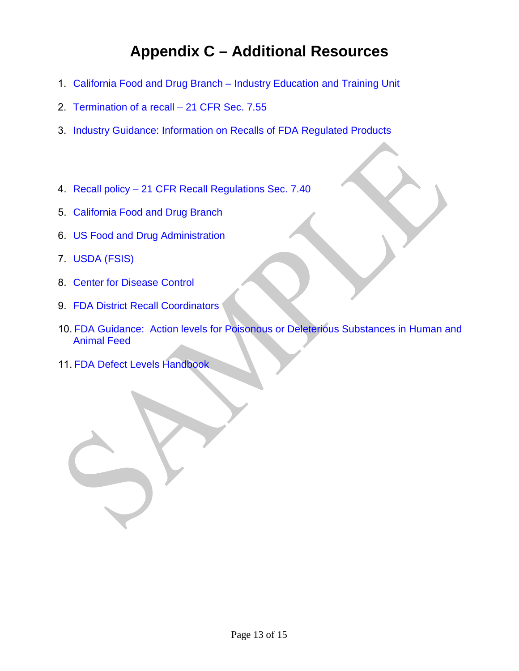# **Appendix C – Additional Resources**

- <span id="page-12-0"></span>1. [California Food and Drug Branch – Industry Education and Training Unit](https://www.cdph.ca.gov/Programs/CEH/DFDCS/Pages/FDBPrograms/FoodSafetyProgram/FoodIndustryTraining.aspx)
- 2. [Termination of a recall](http://www.accessdata.fda.gov/scripts/cdrh/cfdocs/cfcfr/CFRSearch.cfm?FR=7.55) 21 CFR Sec. 7.55
- 3. [Industry Guidance: Information on Recalls of FDA Regulated Products](http://www.accessdata.fda.gov/scripts/cdrh/cfdocs/cfcfr/CFRSearch.cfm?FR=7.55)
- 4. Recall policy  [21 CFR Recall Regulations Sec. 7.40](http://edocket.access.gpo.gov/cfr_2004/aprqtr/21cfr7.40.htm)
- 5. [California Food and Drug](http://www.cdph.ca.gov/FDB) Branch
- 6. US [Food and Drug Administration](http://www.fda.gov/)
- 7. [USDA \(FSIS\)](http://www.fsis.usda.gov/wps/portal/fsis/home)
- 8. Center for [Disease Control](http://www.cdc.gov/)
- 9. [FDA District Recall Coordinators](http://www.fsis.usda.gov/wps/portal/fsis/home)
- 10. [FDA Guidance: Action levels for](http://www.fda.gov/food/guidanceregulation/guidancedocumentsregulatoryinformation/ch emicalcontaminantsmetalsnaturaltoxinspesticides/ucm077969.htm) Poisonous or Deleterious Substances in Human and [Animal Feed](http://www.cdc.gov/)
- 11. FDA Defect [Levels Handbook](http://www.fda.gov/food/guidanceregulation/guidancedocumentsregulatoryinformation/sanitationtransportation/ucm056174.htm)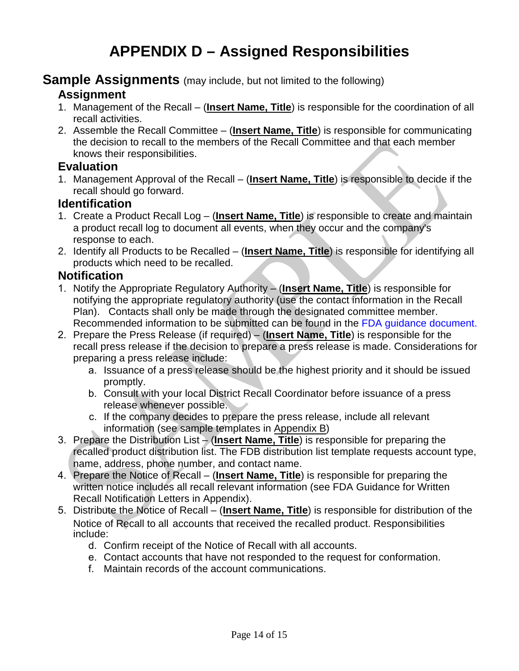#### <span id="page-13-0"></span>**Sample Assignments** (may include, but not limited to the following) **Assignment**

- 1. Management of the Recall (**Insert Name, Title**) is responsible for the coordination of all recall activities.
- 2. Assemble the Recall Committee (**Insert Name, Title**) is responsible for communicating the decision to recall to the members of the Recall Committee and that each member knows their responsibilities.

#### **Evaluation**

1. Management Approval of the Recall – (**Insert Name, Title**) is responsible to decide if the recall should go forward.

#### **Identification**

- 1. Create a Product Recall Log (**Insert Name, Title**) is responsible to create and maintain a product recall log to document all events, when they occur and the company's response to each.
- 2. Identify all Products to be Recalled (**Insert Name, Title**) is responsible for identifying all products which need to be recalled.

#### **Notification**

- 1. Notify the Appropriate Regulatory Authority (**Insert Name, Title**) is responsible for notifying the appropriate regulatory authority (use the contact information in the Recall Plan). Contacts shall only be made through the designated committee member. Recommended information to be submitted can be found in the [FDA guidance document](http://www.fda.gov/Safety/Recalls/IndustryGuidance/ucm129259.htm).
- 2. Pr[epare the Press Release \(if required\)](http://www.fda.gov/Safety/Recalls/IndustryGuidance/ucm129259.htm) (**Insert Name, Title**) is responsible for the recall press release if the decision to prepare a press release is made. Considerations for preparing a press release include:
	- a. Issuance of a press release should be the highest priority and it should be issued promptly.
	- b. Consult with your local District Recall Coordinator before issuance of a press release whenever possible.
	- c. If the company decides to prepare the press release, include all relevant information (see sample templates in [Appendix](#page-11-0) B)
- 3. Prepare the Distribution List (**Insert Name, Title**) is responsible for preparing the recalled product distribution list. The FDB distribution list template requests account type, name, address, phone number, and contact name.
- 4. Prepare the Notice of Recall (**Insert Name, Title**) is responsible for preparing the written notice includes all recall relevant information (see FDA Guidance for Written Recall Notification Letters in Appendix).
- 5. Distribute the Notice of Recall (**Insert Name, Title**) is responsible for distribution of the Notice of Recall to all accounts that received the recalled product. Responsibilities include:
	- d. Confirm receipt of the Notice of Recall with all accounts.
	- e. Contact accounts that have not responded to the request for conformation.
	- f. Maintain records of the account communications.